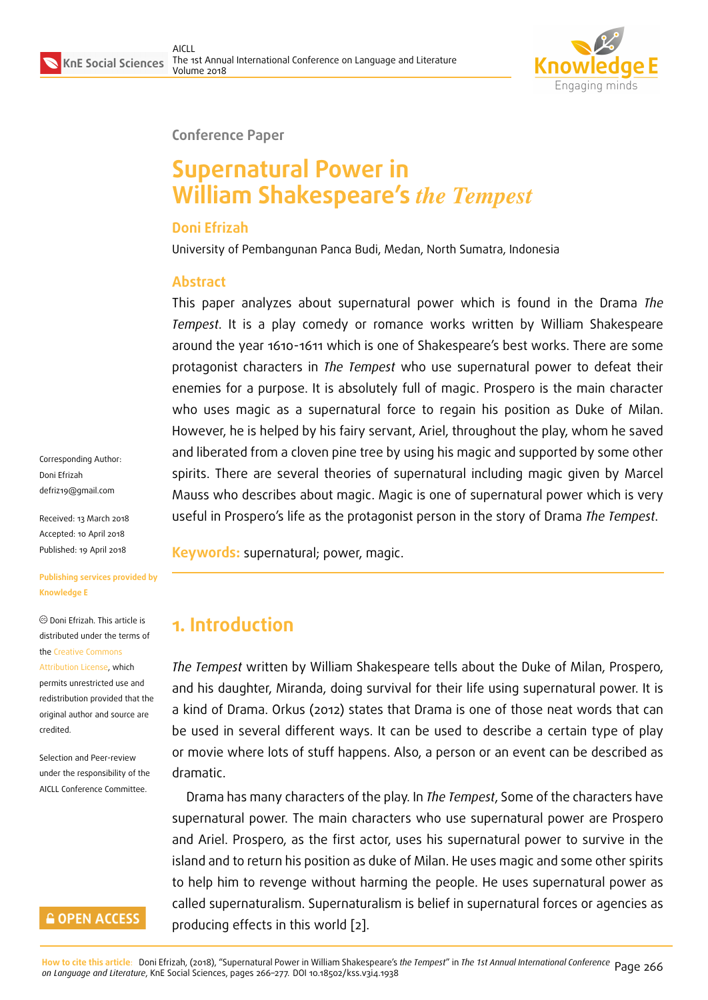

#### **Conference Paper**

# **Supernatural Power in William Shakespeare's** *the Tempest*

#### **Doni Efrizah**

University of Pembangunan Panca Budi, Medan, North Sumatra, Indonesia

### **Abstract**

This paper analyzes about supernatural power which is found in the Drama *The Tempest*. It is a play comedy or romance works written by William Shakespeare around the year 1610-1611 which is one of Shakespeare's best works. There are some protagonist characters in *The Tempest* who use supernatural power to defeat their enemies for a purpose. It is absolutely full of magic. Prospero is the main character who uses magic as a supernatural force to regain his position as Duke of Milan. However, he is helped by his fairy servant, Ariel, throughout the play, whom he saved and liberated from a cloven pine tree by using his magic and supported by some other spirits. There are several theories of supernatural including magic given by Marcel Mauss who describes about magic. Magic is one of supernatural power which is very useful in Prospero's life as the protagonist person in the story of Drama *The Tempest*.

**Keywords:** supernatural; power, magic.

# **1. Introduction**

*The Tempest* written by William Shakespeare tells about the Duke of Milan, Prospero, and his daughter, Miranda, doing survival for their life using supernatural power. It is a kind of Drama. Orkus (2012) states that Drama is one of those neat words that can be used in several different ways. It can be used to describe a certain type of play or movie where lots of stuff happens. Also, a person or an event can be described as dramatic.

Drama has many characters of the play. In *The Tempest*, Some of the characters have supernatural power. The main characters who use supernatural power are Prospero and Ariel. Prospero, as the first actor, uses his supernatural power to survive in the island and to return his position as duke of Milan. He uses magic and some other spirits to help him to revenge without harming the people. He uses supernatural power as called supernaturalism. Supernaturalism is belief in supernatural forces or agencies as producing effects in this world [2].

Corresponding Author: Doni Efrizah defriz19@gmail.com

Received: 13 March 2018 Accepted: 10 April 2018 [Published: 19 April 20](mailto:defriz19@gmail.com)18

**Publishing services provided by Knowledge E**

Doni Efrizah. This article is distributed under the terms of the Creative Commons Attribution License, which permits unrestricted use and redistribution provided that the ori[ginal author and sou](https://creativecommons.org/licenses/by/4.0/)rce are [credited.](https://creativecommons.org/licenses/by/4.0/)

Selection and Peer-review under the responsibility of the AICLL Conference Committee.

### **GOPEN ACCESS**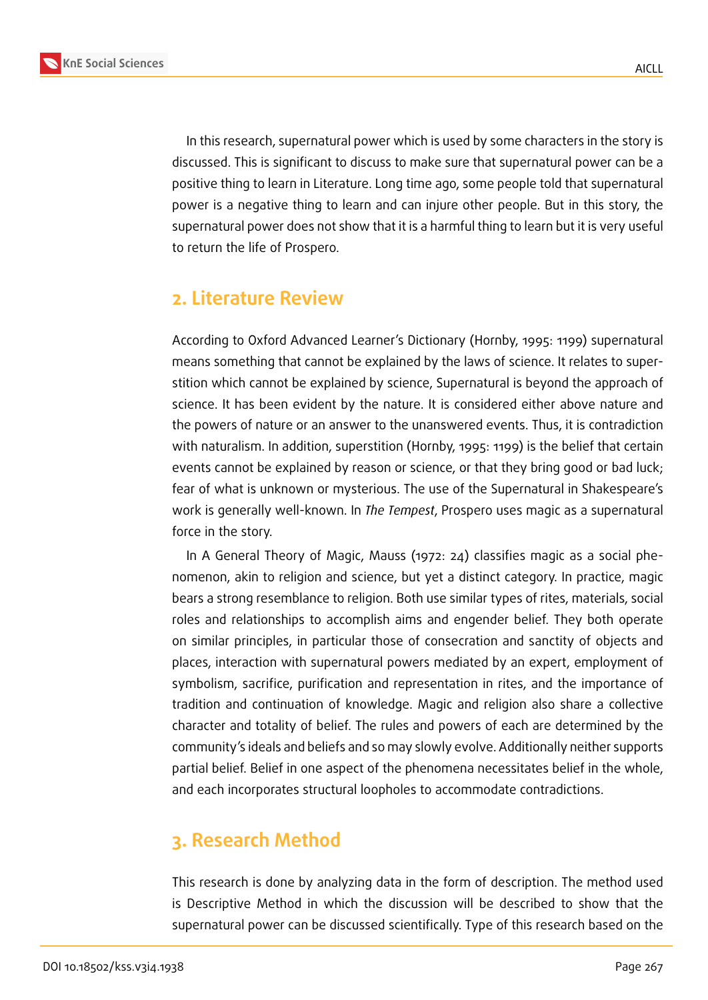

In this research, supernatural power which is used by some characters in the story is discussed. This is significant to discuss to make sure that supernatural power can be a positive thing to learn in Literature. Long time ago, some people told that supernatural power is a negative thing to learn and can injure other people. But in this story, the supernatural power does not show that it is a harmful thing to learn but it is very useful to return the life of Prospero.

## **2. Literature Review**

According to Oxford Advanced Learner's Dictionary (Hornby, 1995: 1199) supernatural means something that cannot be explained by the laws of science. It relates to superstition which cannot be explained by science, Supernatural is beyond the approach of science. It has been evident by the nature. It is considered either above nature and the powers of nature or an answer to the unanswered events. Thus, it is contradiction with naturalism. In addition, superstition (Hornby, 1995: 1199) is the belief that certain events cannot be explained by reason or science, or that they bring good or bad luck; fear of what is unknown or mysterious. The use of the Supernatural in Shakespeare's work is generally well-known. In *The Tempest*, Prospero uses magic as a supernatural force in the story.

In A General Theory of Magic, Mauss (1972: 24) classifies magic as a social phenomenon, akin to religion and science, but yet a distinct category. In practice, magic bears a strong resemblance to religion. Both use similar types of rites, materials, social roles and relationships to accomplish aims and engender belief. They both operate on similar principles, in particular those of consecration and sanctity of objects and places, interaction with supernatural powers mediated by an expert, employment of symbolism, sacrifice, purification and representation in rites, and the importance of tradition and continuation of knowledge. Magic and religion also share a collective character and totality of belief. The rules and powers of each are determined by the community's ideals and beliefs and so may slowly evolve. Additionally neither supports partial belief. Belief in one aspect of the phenomena necessitates belief in the whole, and each incorporates structural loopholes to accommodate contradictions.

## **3. Research Method**

This research is done by analyzing data in the form of description. The method used is Descriptive Method in which the discussion will be described to show that the supernatural power can be discussed scientifically. Type of this research based on the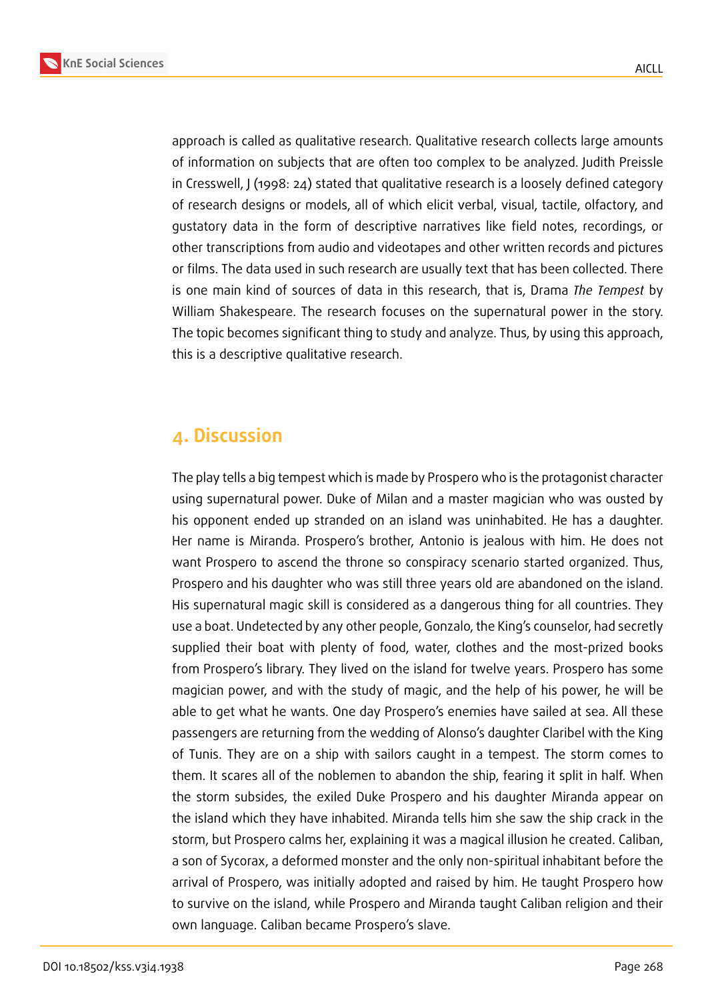

approach is called as qualitative research. Qualitative research collects large amounts of information on subjects that are often too complex to be analyzed. Judith Preissle in Cresswell, J (1998: 24) stated that qualitative research is a loosely defined category of research designs or models, all of which elicit verbal, visual, tactile, olfactory, and gustatory data in the form of descriptive narratives like field notes, recordings, or other transcriptions from audio and videotapes and other written records and pictures or films. The data used in such research are usually text that has been collected. There is one main kind of sources of data in this research, that is, Drama *The Tempest* by William Shakespeare. The research focuses on the supernatural power in the story. The topic becomes significant thing to study and analyze. Thus, by using this approach, this is a descriptive qualitative research.

## **4. Discussion**

The play tells a big tempest which is made by Prospero who is the protagonist character using supernatural power. Duke of Milan and a master magician who was ousted by his opponent ended up stranded on an island was uninhabited. He has a daughter. Her name is Miranda. Prospero's brother, Antonio is jealous with him. He does not want Prospero to ascend the throne so conspiracy scenario started organized. Thus, Prospero and his daughter who was still three years old are abandoned on the island. His supernatural magic skill is considered as a dangerous thing for all countries. They use a boat. Undetected by any other people, Gonzalo, the King's counselor, had secretly supplied their boat with plenty of food, water, clothes and the most-prized books from Prospero's library. They lived on the island for twelve years. Prospero has some magician power, and with the study of magic, and the help of his power, he will be able to get what he wants. One day Prospero's enemies have sailed at sea. All these passengers are returning from the wedding of Alonso's daughter Claribel with the King of Tunis. They are on a ship with sailors caught in a tempest. The storm comes to them. It scares all of the noblemen to abandon the ship, fearing it split in half. When the storm subsides, the exiled Duke Prospero and his daughter Miranda appear on the island which they have inhabited. Miranda tells him she saw the ship crack in the storm, but Prospero calms her, explaining it was a magical illusion he created. Caliban, a son of Sycorax, a deformed monster and the only non-spiritual inhabitant before the arrival of Prospero, was initially adopted and raised by him. He taught Prospero how to survive on the island, while Prospero and Miranda taught Caliban religion and their own language. Caliban became Prospero's slave.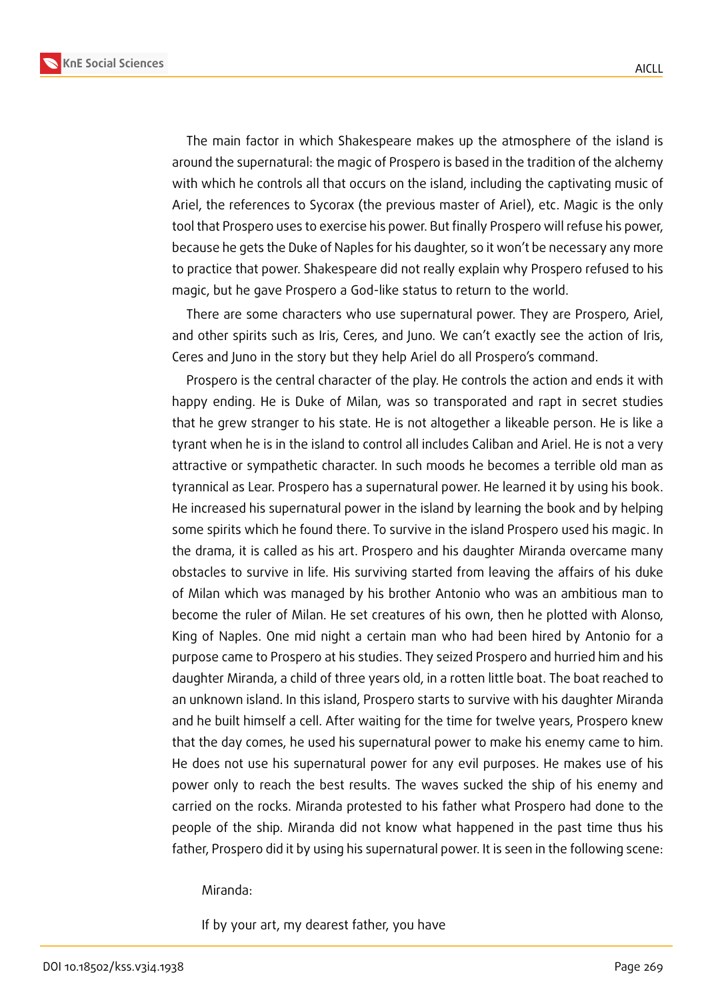**KnE Social Sciences**



The main factor in which Shakespeare makes up the atmosphere of the island is around the supernatural: the magic of Prospero is based in the tradition of the alchemy with which he controls all that occurs on the island, including the captivating music of Ariel, the references to Sycorax (the previous master of Ariel), etc. Magic is the only tool that Prospero uses to exercise his power. But finally Prospero will refuse his power, because he gets the Duke of Naples for his daughter, so it won't be necessary any more to practice that power. Shakespeare did not really explain why Prospero refused to his magic, but he gave Prospero a God-like status to return to the world.

There are some characters who use supernatural power. They are Prospero, Ariel, and other spirits such as Iris, Ceres, and Juno. We can't exactly see the action of Iris, Ceres and Juno in the story but they help Ariel do all Prospero's command.

Prospero is the central character of the play. He controls the action and ends it with happy ending. He is Duke of Milan, was so transporated and rapt in secret studies that he grew stranger to his state. He is not altogether a likeable person. He is like a tyrant when he is in the island to control all includes Caliban and Ariel. He is not a very attractive or sympathetic character. In such moods he becomes a terrible old man as tyrannical as Lear. Prospero has a supernatural power. He learned it by using his book. He increased his supernatural power in the island by learning the book and by helping some spirits which he found there. To survive in the island Prospero used his magic. In the drama, it is called as his art. Prospero and his daughter Miranda overcame many obstacles to survive in life. His surviving started from leaving the affairs of his duke of Milan which was managed by his brother Antonio who was an ambitious man to become the ruler of Milan. He set creatures of his own, then he plotted with Alonso, King of Naples. One mid night a certain man who had been hired by Antonio for a purpose came to Prospero at his studies. They seized Prospero and hurried him and his daughter Miranda, a child of three years old, in a rotten little boat. The boat reached to an unknown island. In this island, Prospero starts to survive with his daughter Miranda and he built himself a cell. After waiting for the time for twelve years, Prospero knew that the day comes, he used his supernatural power to make his enemy came to him. He does not use his supernatural power for any evil purposes. He makes use of his power only to reach the best results. The waves sucked the ship of his enemy and carried on the rocks. Miranda protested to his father what Prospero had done to the people of the ship. Miranda did not know what happened in the past time thus his father, Prospero did it by using his supernatural power. It is seen in the following scene:

Miranda:

If by your art, my dearest father, you have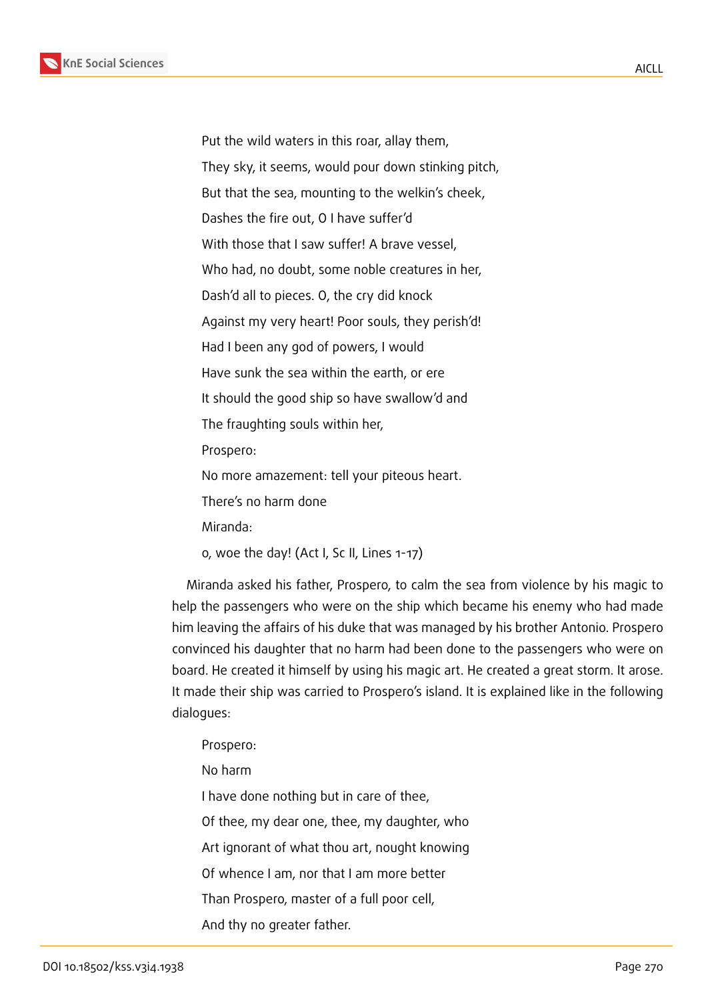Put the wild waters in this roar, allay them, They sky, it seems, would pour down stinking pitch, But that the sea, mounting to the welkin's cheek, Dashes the fire out, O I have suffer'd With those that I saw suffer! A brave vessel, Who had, no doubt, some noble creatures in her, Dash'd all to pieces. O, the cry did knock Against my very heart! Poor souls, they perish'd! Had I been any god of powers, I would Have sunk the sea within the earth, or ere It should the good ship so have swallow'd and The fraughting souls within her, Prospero: No more amazement: tell your piteous heart. There's no harm done Miranda: o, woe the day! (Act I, Sc II, Lines 1-17)

Miranda asked his father, Prospero, to calm the sea from violence by his magic to help the passengers who were on the ship which became his enemy who had made him leaving the affairs of his duke that was managed by his brother Antonio. Prospero convinced his daughter that no harm had been done to the passengers who were on board. He created it himself by using his magic art. He created a great storm. It arose. It made their ship was carried to Prospero's island. It is explained like in the following dialogues:

- Prospero:
- No harm

I have done nothing but in care of thee,

Of thee, my dear one, thee, my daughter, who

Art ignorant of what thou art, nought knowing

Of whence I am, nor that I am more better

Than Prospero, master of a full poor cell,

And thy no greater father.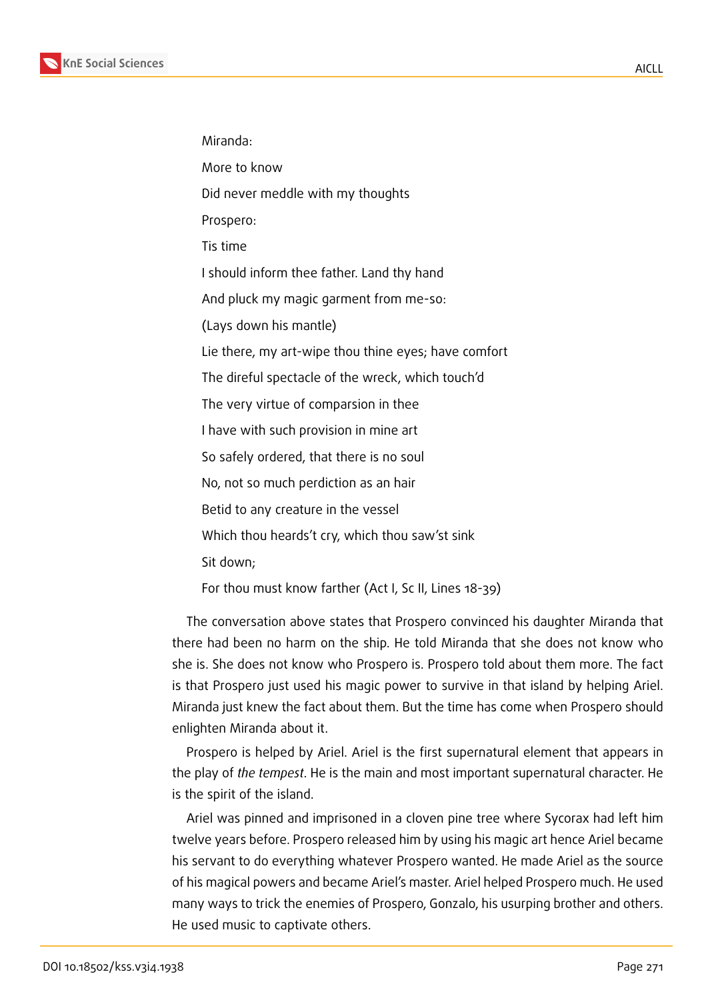

Miranda:

More to know

Did never meddle with my thoughts

Prospero:

Tis time

I should inform thee father. Land thy hand

And pluck my magic garment from me-so:

(Lays down his mantle)

Lie there, my art-wipe thou thine eyes; have comfort

The direful spectacle of the wreck, which touch'd

The very virtue of comparsion in thee

I have with such provision in mine art

So safely ordered, that there is no soul

No, not so much perdiction as an hair

Betid to any creature in the vessel

Which thou heards't cry, which thou saw'st sink

Sit down;

For thou must know farther (Act I, Sc II, Lines 18-39)

The conversation above states that Prospero convinced his daughter Miranda that there had been no harm on the ship. He told Miranda that she does not know who she is. She does not know who Prospero is. Prospero told about them more. The fact is that Prospero just used his magic power to survive in that island by helping Ariel. Miranda just knew the fact about them. But the time has come when Prospero should enlighten Miranda about it.

Prospero is helped by Ariel. Ariel is the first supernatural element that appears in the play of *the tempest*. He is the main and most important supernatural character. He is the spirit of the island.

Ariel was pinned and imprisoned in a cloven pine tree where Sycorax had left him twelve years before. Prospero released him by using his magic art hence Ariel became his servant to do everything whatever Prospero wanted. He made Ariel as the source of his magical powers and became Ariel's master. Ariel helped Prospero much. He used many ways to trick the enemies of Prospero, Gonzalo, his usurping brother and others. He used music to captivate others.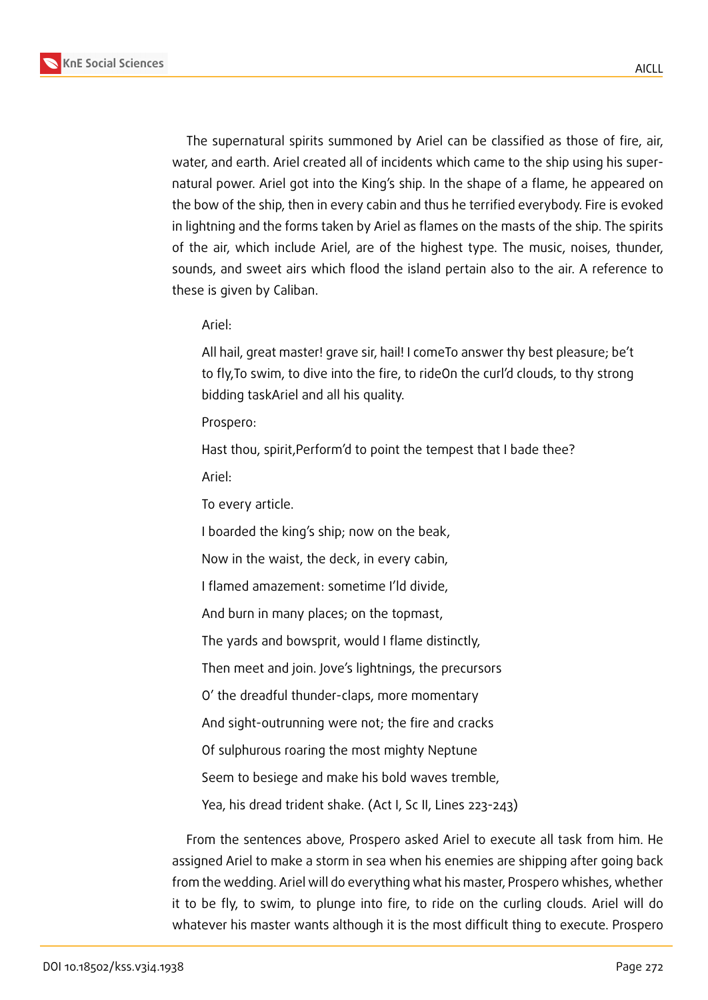

The supernatural spirits summoned by Ariel can be classified as those of fire, air, water, and earth. Ariel created all of incidents which came to the ship using his supernatural power. Ariel got into the King's ship. In the shape of a flame, he appeared on the bow of the ship, then in every cabin and thus he terrified everybody. Fire is evoked in lightning and the forms taken by Ariel as flames on the masts of the ship. The spirits of the air, which include Ariel, are of the highest type. The music, noises, thunder, sounds, and sweet airs which flood the island pertain also to the air. A reference to these is given by Caliban.

Ariel:

All hail, great master! grave sir, hail! I comeTo answer thy best pleasure; be't to fly,To swim, to dive into the fire, to rideOn the curl'd clouds, to thy strong bidding taskAriel and all his quality.

Prospero:

Hast thou, spirit, Perform'd to point the tempest that I bade thee? Ariel:

To every article.

I boarded the king's ship; now on the beak,

Now in the waist, the deck, in every cabin,

I flamed amazement: sometime I'ld divide,

And burn in many places; on the topmast,

The yards and bowsprit, would I flame distinctly,

Then meet and join. Jove's lightnings, the precursors

O' the dreadful thunder-claps, more momentary

And sight-outrunning were not; the fire and cracks

Of sulphurous roaring the most mighty Neptune

Seem to besiege and make his bold waves tremble,

Yea, his dread trident shake. (Act I, Sc II, Lines 223-243)

From the sentences above, Prospero asked Ariel to execute all task from him. He assigned Ariel to make a storm in sea when his enemies are shipping after going back from the wedding. Ariel will do everything what his master, Prospero whishes, whether it to be fly, to swim, to plunge into fire, to ride on the curling clouds. Ariel will do whatever his master wants although it is the most difficult thing to execute. Prospero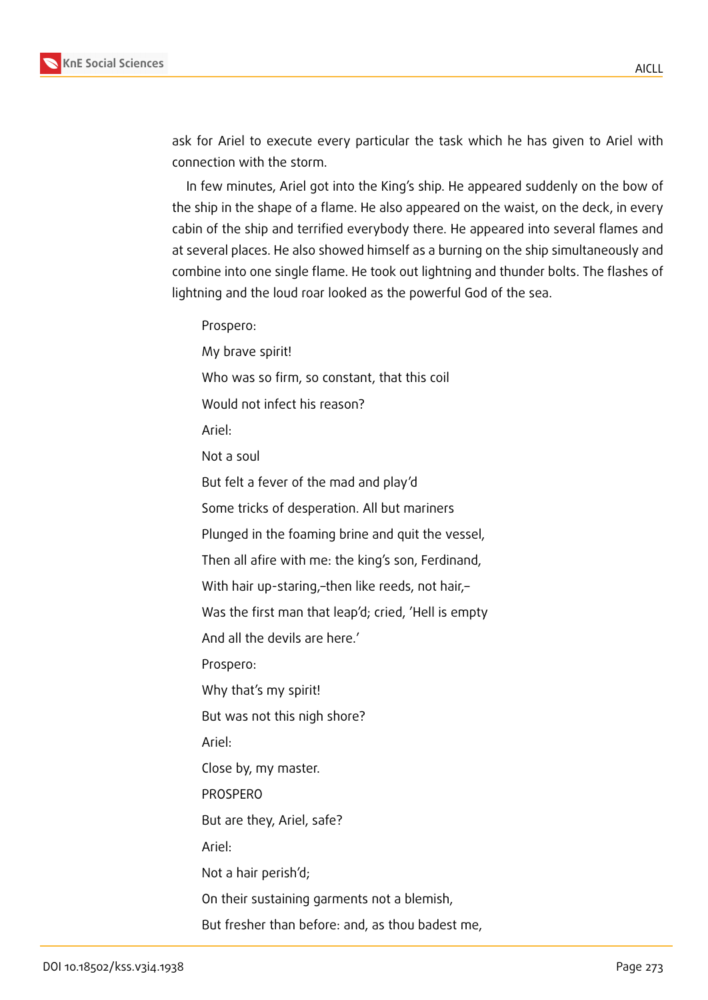ask for Ariel to execute every particular the task which he has given to Ariel with connection with the storm.

In few minutes, Ariel got into the King's ship. He appeared suddenly on the bow of the ship in the shape of a flame. He also appeared on the waist, on the deck, in every cabin of the ship and terrified everybody there. He appeared into several flames and at several places. He also showed himself as a burning on the ship simultaneously and combine into one single flame. He took out lightning and thunder bolts. The flashes of lightning and the loud roar looked as the powerful God of the sea.

Prospero: My brave spirit! Who was so firm, so constant, that this coil Would not infect his reason? Ariel: Not a soul But felt a fever of the mad and play'd Some tricks of desperation. All but mariners Plunged in the foaming brine and quit the vessel, Then all afire with me: the king's son, Ferdinand, With hair up-staring,–then like reeds, not hair,– Was the first man that leap'd; cried, 'Hell is empty And all the devils are here.' Prospero: Why that's my spirit! But was not this nigh shore? Ariel: Close by, my master. PROSPERO But are they, Ariel, safe? Ariel: Not a hair perish'd; On their sustaining garments not a blemish, But fresher than before: and, as thou badest me,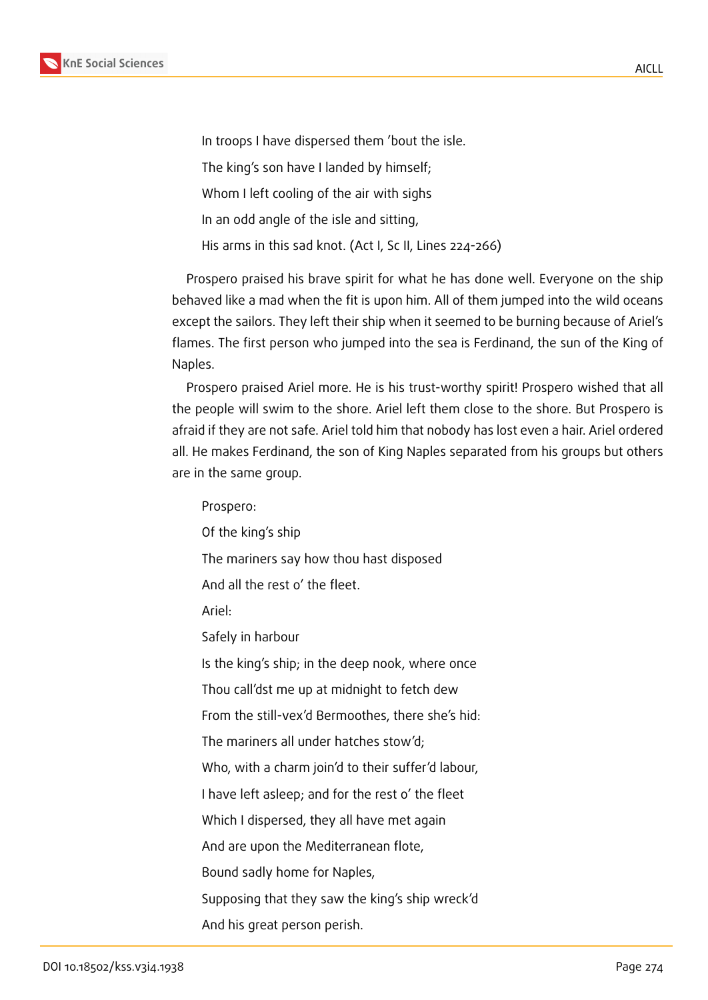

In troops I have dispersed them 'bout the isle. The king's son have I landed by himself; Whom I left cooling of the air with sighs In an odd angle of the isle and sitting, His arms in this sad knot. (Act I, Sc II, Lines 224-266)

Prospero praised his brave spirit for what he has done well. Everyone on the ship behaved like a mad when the fit is upon him. All of them jumped into the wild oceans except the sailors. They left their ship when it seemed to be burning because of Ariel's flames. The first person who jumped into the sea is Ferdinand, the sun of the King of Naples.

Prospero praised Ariel more. He is his trust-worthy spirit! Prospero wished that all the people will swim to the shore. Ariel left them close to the shore. But Prospero is afraid if they are not safe. Ariel told him that nobody has lost even a hair. Ariel ordered all. He makes Ferdinand, the son of King Naples separated from his groups but others are in the same group.

Prospero: Of the king's ship The mariners say how thou hast disposed And all the rest o' the fleet. Ariel: Safely in harbour Is the king's ship; in the deep nook, where once Thou call'dst me up at midnight to fetch dew From the still-vex'd Bermoothes, there she's hid: The mariners all under hatches stow'd; Who, with a charm join'd to their suffer'd labour, I have left asleep; and for the rest o' the fleet Which I dispersed, they all have met again And are upon the Mediterranean flote, Bound sadly home for Naples, Supposing that they saw the king's ship wreck'd And his great person perish.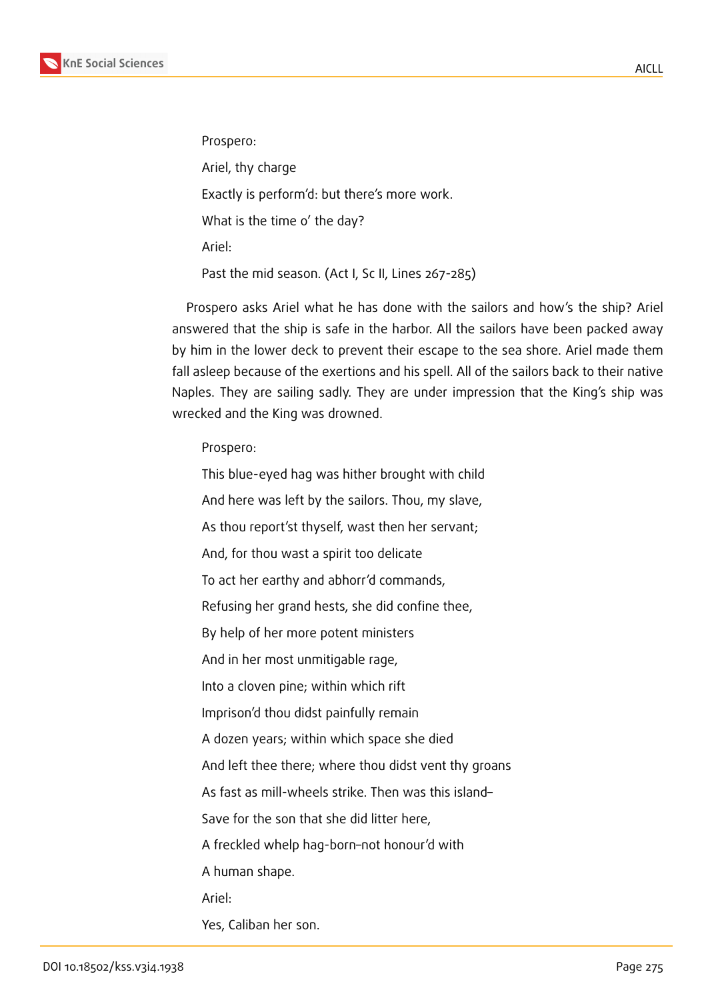

Prospero:

Ariel, thy charge

Exactly is perform'd: but there's more work.

What is the time o' the day?

Ariel:

Past the mid season. (Act I, Sc II, Lines 267-285)

Prospero asks Ariel what he has done with the sailors and how's the ship? Ariel answered that the ship is safe in the harbor. All the sailors have been packed away by him in the lower deck to prevent their escape to the sea shore. Ariel made them fall asleep because of the exertions and his spell. All of the sailors back to their native Naples. They are sailing sadly. They are under impression that the King's ship was wrecked and the King was drowned.

Prospero:

This blue-eyed hag was hither brought with child And here was left by the sailors. Thou, my slave, As thou report'st thyself, wast then her servant; And, for thou wast a spirit too delicate To act her earthy and abhorr'd commands, Refusing her grand hests, she did confine thee, By help of her more potent ministers And in her most unmitigable rage, Into a cloven pine; within which rift Imprison'd thou didst painfully remain A dozen years; within which space she died And left thee there; where thou didst vent thy groans As fast as mill-wheels strike. Then was this island– Save for the son that she did litter here, A freckled whelp hag-born–not honour'd with A human shape. Ariel: Yes, Caliban her son.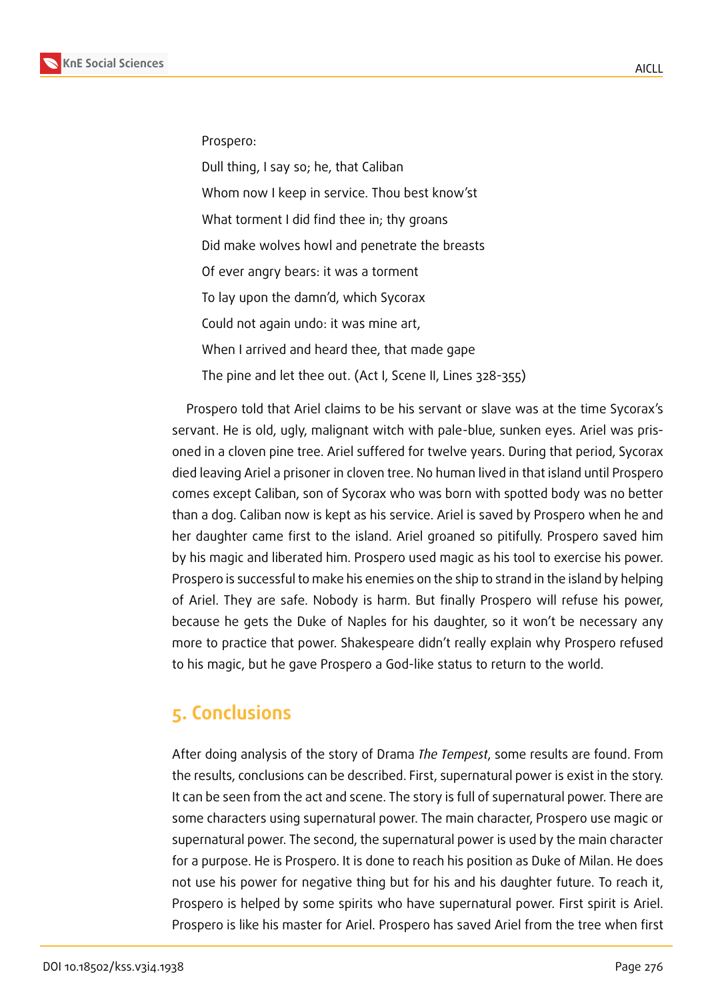

Prospero:

Dull thing, I say so; he, that Caliban Whom now I keep in service. Thou best know'st What torment I did find thee in; thy groans Did make wolves howl and penetrate the breasts Of ever angry bears: it was a torment To lay upon the damn'd, which Sycorax Could not again undo: it was mine art, When I arrived and heard thee, that made gape The pine and let thee out. (Act I, Scene II, Lines 328-355)

Prospero told that Ariel claims to be his servant or slave was at the time Sycorax's servant. He is old, ugly, malignant witch with pale-blue, sunken eyes. Ariel was prisoned in a cloven pine tree. Ariel suffered for twelve years. During that period, Sycorax died leaving Ariel a prisoner in cloven tree. No human lived in that island until Prospero comes except Caliban, son of Sycorax who was born with spotted body was no better than a dog. Caliban now is kept as his service. Ariel is saved by Prospero when he and her daughter came first to the island. Ariel groaned so pitifully. Prospero saved him by his magic and liberated him. Prospero used magic as his tool to exercise his power. Prospero is successful to make his enemies on the ship to strand in the island by helping of Ariel. They are safe. Nobody is harm. But finally Prospero will refuse his power, because he gets the Duke of Naples for his daughter, so it won't be necessary any more to practice that power. Shakespeare didn't really explain why Prospero refused to his magic, but he gave Prospero a God-like status to return to the world.

# **5. Conclusions**

After doing analysis of the story of Drama *The Tempest*, some results are found. From the results, conclusions can be described. First, supernatural power is exist in the story. It can be seen from the act and scene. The story is full of supernatural power. There are some characters using supernatural power. The main character, Prospero use magic or supernatural power. The second, the supernatural power is used by the main character for a purpose. He is Prospero. It is done to reach his position as Duke of Milan. He does not use his power for negative thing but for his and his daughter future. To reach it, Prospero is helped by some spirits who have supernatural power. First spirit is Ariel. Prospero is like his master for Ariel. Prospero has saved Ariel from the tree when first